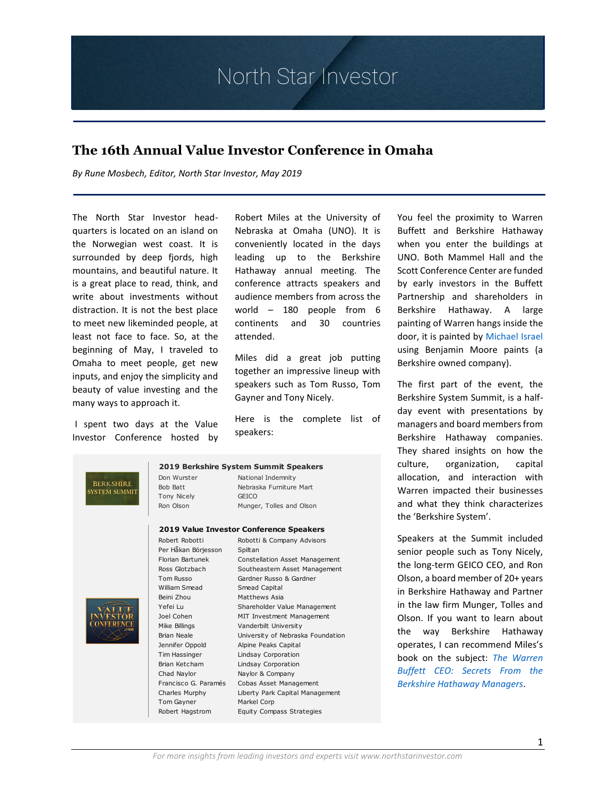### **The 16th Annual Value Investor Conference in Omaha**

*By Rune Mosbech, Editor, North Star Investor, May 2019*

The North Star Investor headquarters is located on an island on the Norwegian west coast. It is surrounded by deep fjords, high mountains, and beautiful nature. It is a great place to read, think, and write about investments without distraction. It is not the best place to meet new likeminded people, at least not face to face. So, at the beginning of May, I traveled to Omaha to meet people, get new inputs, and enjoy the simplicity and beauty of value investing and the many ways to approach it.

l

I spent two days at the Value Investor Conference hosted by Robert Miles at the University of Nebraska at Omaha (UNO). It is conveniently located in the days leading up to the Berkshire Hathaway annual meeting. The conference attracts speakers and audience members from across the world – 180 people from 6 continents and 30 countries attended.

Miles did a great job putting together an impressive lineup with speakers such as Tom Russo, Tom Gayner and Tony Nicely.

Here is the complete list of speakers:

#### **2019 Berkshire System Summit Speakers**

**BERKSHIRE SYSTEM SUMMIT** 

#### Don Wurster National Indemnity

Bob Batt Nebraska Furniture Mart Tony Nicely GEICO Ron Olson Munger, Tolles and Olson

#### **2019 Value Investor Conference Speakers**

Robert Robot Per Håkan Bi Florian Bartu Ross Glotzba Tom Russo William Smea Beini Zhou Joel Cohen Mike Billings Brian Neale Jennifer Opp Tim Hassinge Brian Ketcha Chad Naylor Francisco G. Charles Murp Tom Gayner Robert Hagst

| LUIS TURC INTESTOI CONTENTING SPERINGS |                                       |
|----------------------------------------|---------------------------------------|
| Robert Robotti                         | Robotti & Company Advisors            |
| Per Håkan Börjesson                    | Spiltan                               |
| Florian Bartunek                       | <b>Constellation Asset Management</b> |
| Ross Glotzbach                         | Southeastern Asset Management         |
| <b>Tom Russo</b>                       | Gardner Russo & Gardner               |
| William Smead                          | Smead Capital                         |
| Beini Zhou                             | Matthews Asia                         |
| Yefei Lu                               | Shareholder Value Management          |
| Joel Cohen                             | MIT Investment Management             |
| Mike Billings                          | Vanderbilt University                 |
| <b>Brian Neale</b>                     | University of Nebraska Foundation     |
| Jennifer Oppold                        | Alpine Peaks Capital                  |
| Tim Hassinger                          | Lindsay Corporation                   |
| Brian Ketcham                          | Lindsay Corporation                   |
| Chad Naylor                            | Naylor & Company                      |
| Francisco G. Paramés                   | Cobas Asset Management                |
| Charles Murphy                         | Liberty Park Capital Management       |
| <b>Tom Gayner</b>                      | Markel Corp                           |
| Robert Hagstrom                        | <b>Equity Compass Strategies</b>      |

You feel the proximity to Warren Buffett and Berkshire Hathaway when you enter the buildings at UNO. Both Mammel Hall and the Scott Conference Center are funded by early investors in the Buffett Partnership and shareholders in Berkshire Hathaway. A large painting of Warren hangs inside the door, it is painted by [Michael Israel](https://www.youtube.com/watch?v=F_I6HD2Gy54) using Benjamin Moore paints (a Berkshire owned company).

The first part of the event, the Berkshire System Summit, is a halfday event with presentations by managers and board members from Berkshire Hathaway companies. They shared insights on how the culture, organization, capital allocation, and interaction with Warren impacted their businesses and what they think characterizes the 'Berkshire System'.

Speakers at the Summit included senior people such as Tony Nicely, the long-term GEICO CEO, and Ron Olson, a board member of 20+ years in Berkshire Hathaway and Partner in the law firm Munger, Tolles and Olson. If you want to learn about the way Berkshire Hathaway operates, I can recommend Miles's book on the subject: *[The Warren](https://www.amazon.com/gp/product/0471442593/ref=dbs_a_def_rwt_bibl_vppi_i0)  [Buffett CEO: Secrets From the](https://www.amazon.com/gp/product/0471442593/ref=dbs_a_def_rwt_bibl_vppi_i0)  [Berkshire Hathaway Managers](https://www.amazon.com/gp/product/0471442593/ref=dbs_a_def_rwt_bibl_vppi_i0)*.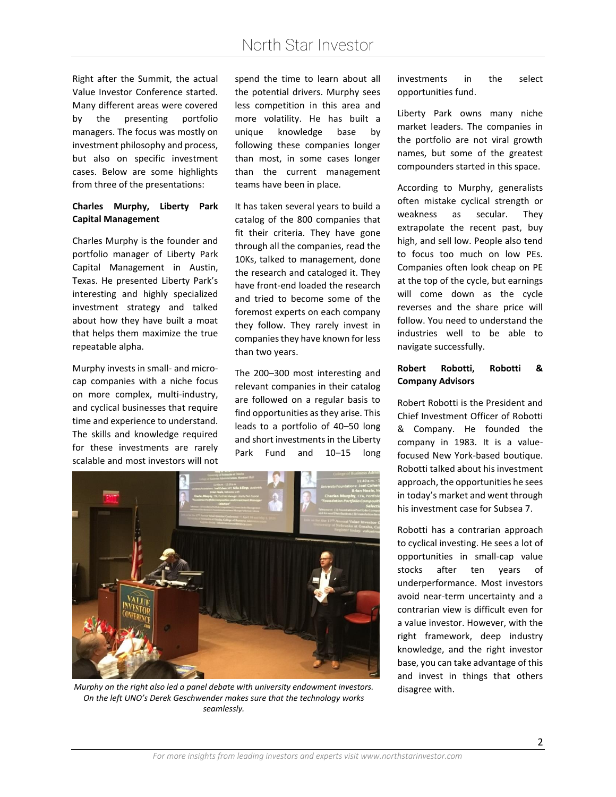Right after the Summit, the actual Value Investor Conference started. Many different areas were covered by the presenting portfolio managers. The focus was mostly on investment philosophy and process, but also on specific investment cases. Below are some highlights from three of the presentations:

#### **Charles Murphy, Liberty Park Capital Management**

Charles Murphy is the founder and portfolio manager of Liberty Park Capital Management in Austin, Texas. He presented Liberty Park's interesting and highly specialized investment strategy and talked about how they have built a moat that helps them maximize the true repeatable alpha.

Murphy invests in small- and microcap companies with a niche focus on more complex, multi-industry, and cyclical businesses that require time and experience to understand. The skills and knowledge required for these investments are rarely scalable and most investors will not

spend the time to learn about all the potential drivers. Murphy sees less competition in this area and more volatility. He has built a unique knowledge base by following these companies longer than most, in some cases longer than the current management teams have been in place.

It has taken several years to build a catalog of the 800 companies that fit their criteria. They have gone through all the companies, read the 10Ks, talked to management, done the research and cataloged it. They have front-end loaded the research and tried to become some of the foremost experts on each company they follow. They rarely invest in companies they have known for less than two years.

The 200–300 most interesting and relevant companies in their catalog are followed on a regular basis to find opportunities as they arise. This leads to a portfolio of 40–50 long and short investments in the Liberty Park Fund and 10–15 long



*Murphy on the right also led a panel debate with university endowment investors.* disagree with. *On the left UNO's Derek Geschwender makes sure that the technology works seamlessly.*

investments in the select opportunities fund.

Liberty Park owns many niche market leaders. The companies in the portfolio are not viral growth names, but some of the greatest compounders started in this space.

According to Murphy, generalists often mistake cyclical strength or weakness as secular. They extrapolate the recent past, buy high, and sell low. People also tend to focus too much on low PEs. Companies often look cheap on PE at the top of the cycle, but earnings will come down as the cycle reverses and the share price will follow. You need to understand the industries well to be able to navigate successfully.

### **Robert Robotti, Robotti & Company Advisors**

Robert Robotti is the President and Chief Investment Officer of Robotti & Company. He founded the company in 1983. It is a valuefocused New York-based boutique. Robotti talked about his investment approach, the opportunities he sees in today's market and went through his investment case for Subsea 7.

Robotti has a contrarian approach to cyclical investing. He sees a lot of opportunities in small-cap value stocks after ten years of underperformance. Most investors avoid near-term uncertainty and a contrarian view is difficult even for a value investor. However, with the right framework, deep industry knowledge, and the right investor base, you can take advantage of this and invest in things that others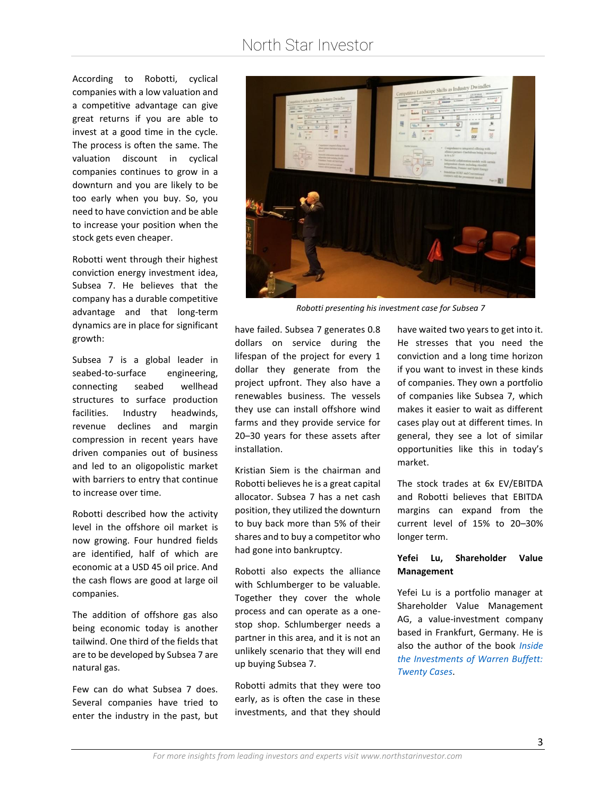According to Robotti, cyclical companies with a low valuation and a competitive advantage can give great returns if you are able to invest at a good time in the cycle. The process is often the same. The valuation discount in cyclical companies continues to grow in a downturn and you are likely to be too early when you buy. So, you need to have conviction and be able to increase your position when the stock gets even cheaper.

Robotti went through their highest conviction energy investment idea, Subsea 7. He believes that the company has a durable competitive advantage and that long-term dynamics are in place for significant growth:

Subsea 7 is a global leader in seabed-to-surface engineering, connecting seabed wellhead structures to surface production facilities. Industry headwinds, revenue declines and margin compression in recent years have driven companies out of business and led to an oligopolistic market with barriers to entry that continue to increase over time.

Robotti described how the activity level in the offshore oil market is now growing. Four hundred fields are identified, half of which are economic at a USD 45 oil price. And the cash flows are good at large oil companies.

The addition of offshore gas also being economic today is another tailwind. One third of the fields that are to be developed by Subsea 7 are natural gas.

Few can do what Subsea 7 does. Several companies have tried to enter the industry in the past, but



*Robotti presenting his investment case for Subsea 7*

have failed. Subsea 7 generates 0.8 dollars on service during the lifespan of the project for every 1 dollar they generate from the project upfront. They also have a renewables business. The vessels they use can install offshore wind farms and they provide service for 20–30 years for these assets after installation.

Kristian Siem is the chairman and Robotti believes he is a great capital allocator. Subsea 7 has a net cash position, they utilized the downturn to buy back more than 5% of their shares and to buy a competitor who had gone into bankruptcy.

Robotti also expects the alliance with Schlumberger to be valuable. Together they cover the whole process and can operate as a onestop shop. Schlumberger needs a partner in this area, and it is not an unlikely scenario that they will end up buying Subsea 7.

Robotti admits that they were too early, as is often the case in these investments, and that they should

have waited two years to get into it. He stresses that you need the conviction and a long time horizon if you want to invest in these kinds of companies. They own a portfolio of companies like Subsea 7, which makes it easier to wait as different cases play out at different times. In general, they see a lot of similar opportunities like this in today's market.

The stock trades at 6x EV/EBITDA and Robotti believes that EBITDA margins can expand from the current level of 15% to 20–30% longer term.

### **Yefei Lu, Shareholder Value Management**

Yefei Lu is a portfolio manager at Shareholder Value Management AG, a value-investment company based in Frankfurt, Germany. He is also the author of the book *[Inside](https://www.amazon.com/Inside-Investments-Warren-Buffett-Publishing/dp/0231164629)  [the Investments of Warren Buffett:](https://www.amazon.com/Inside-Investments-Warren-Buffett-Publishing/dp/0231164629)  [Twenty Cases](https://www.amazon.com/Inside-Investments-Warren-Buffett-Publishing/dp/0231164629)*.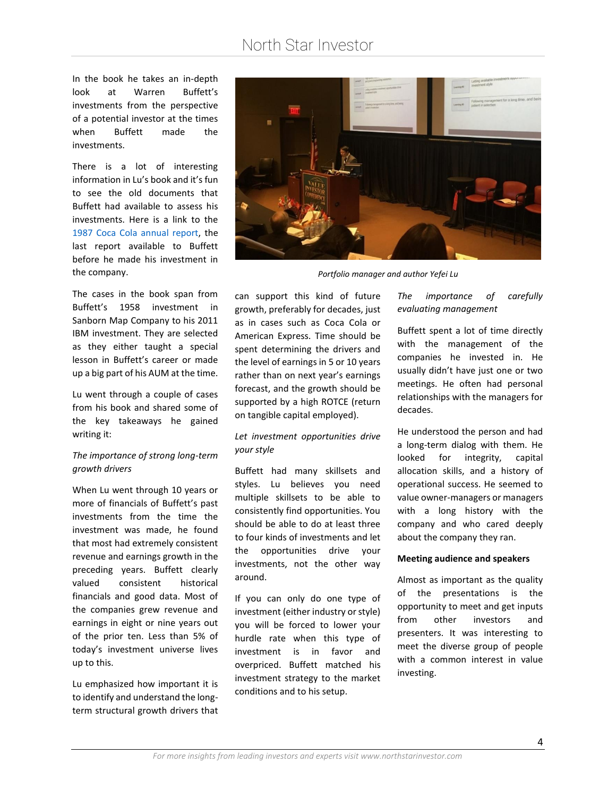In the book he takes an in-depth look at Warren Buffett's investments from the perspective of a potential investor at the times when Buffett made the investments.

There is a lot of interesting information in Lu's book and it's fun to see the old documents that Buffett had available to assess his investments. Here is a link to the [1987 Coca Cola annual report,](http://insidebuffett.com/wp-content/uploads/2016/07/1987-Coca-Cola-Annual-Report_Complete.pdf) the last report available to Buffett before he made his investment in the company.

The cases in the book span from Buffett's 1958 investment in Sanborn Map Company to his 2011 IBM investment. They are selected as they either taught a special lesson in Buffett's career or made up a big part of his AUM at the time.

Lu went through a couple of cases from his book and shared some of the key takeaways he gained writing it:

#### *The importance of strong long-term growth drivers*

When Lu went through 10 years or more of financials of Buffett's past investments from the time the investment was made, he found that most had extremely consistent revenue and earnings growth in the preceding years. Buffett clearly valued consistent historical financials and good data. Most of the companies grew revenue and earnings in eight or nine years out of the prior ten. Less than 5% of today's investment universe lives up to this.

Lu emphasized how important it is to identify and understand the longterm structural growth drivers that



*Portfolio manager and author Yefei Lu*

can support this kind of future growth, preferably for decades, just as in cases such as Coca Cola or American Express. Time should be spent determining the drivers and the level of earnings in 5 or 10 years rather than on next year's earnings forecast, and the growth should be supported by a high ROTCE (return on tangible capital employed).

#### *Let investment opportunities drive your style*

Buffett had many skillsets and styles. Lu believes you need multiple skillsets to be able to consistently find opportunities. You should be able to do at least three to four kinds of investments and let the opportunities drive your investments, not the other way around.

If you can only do one type of investment (either industry or style) you will be forced to lower your hurdle rate when this type of investment is in favor and overpriced. Buffett matched his investment strategy to the market conditions and to his setup.

### *The importance of carefully evaluating management*

Buffett spent a lot of time directly with the management of the companies he invested in. He usually didn't have just one or two meetings. He often had personal relationships with the managers for decades.

He understood the person and had a long-term dialog with them. He looked for integrity, capital allocation skills, and a history of operational success. He seemed to value owner-managers or managers with a long history with the company and who cared deeply about the company they ran.

#### **Meeting audience and speakers**

Almost as important as the quality of the presentations is the opportunity to meet and get inputs from other investors and presenters. It was interesting to meet the diverse group of people with a common interest in value investing.